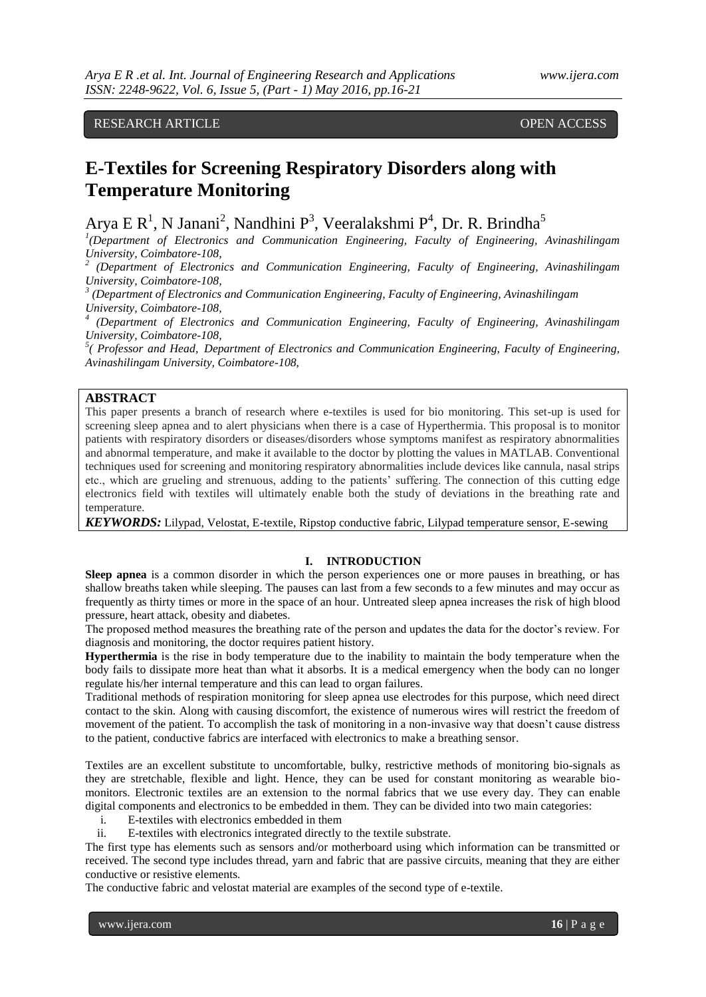# RESEARCH ARTICLE OPEN ACCESS

# **E-Textiles for Screening Respiratory Disorders along with Temperature Monitoring**

Arya E R<sup>1</sup>, N Janani<sup>2</sup>, Nandhini P<sup>3</sup>, Veeralakshmi P<sup>4</sup>, Dr. R. Brindha<sup>5</sup>

<sup>1</sup>(Department of Electronics and Communication Engineering, Faculty of Engineering, Avinashilingam *University, Coimbatore-108,* 

*2 (Department of Electronics and Communication Engineering, Faculty of Engineering, Avinashilingam University, Coimbatore-108,*

*3 (Department of Electronics and Communication Engineering, Faculty of Engineering, Avinashilingam University, Coimbatore-108,* 

*4 (Department of Electronics and Communication Engineering, Faculty of Engineering, Avinashilingam University, Coimbatore-108,* 

<sup>5</sup>( Professor and Head, Department of Electronics and Communication Engineering, Faculty of Engineering, *Avinashilingam University, Coimbatore-108,* 

# **ABSTRACT**

This paper presents a branch of research where e-textiles is used for bio monitoring. This set-up is used for screening sleep apnea and to alert physicians when there is a case of Hyperthermia. This proposal is to monitor patients with respiratory disorders or diseases/disorders whose symptoms manifest as respiratory abnormalities and abnormal temperature, and make it available to the doctor by plotting the values in MATLAB. Conventional techniques used for screening and monitoring respiratory abnormalities include devices like cannula, nasal strips etc., which are grueling and strenuous, adding to the patients' suffering. The connection of this cutting edge electronics field with textiles will ultimately enable both the study of deviations in the breathing rate and temperature.

*KEYWORDS:* Lilypad, Velostat, E-textile, Ripstop conductive fabric, Lilypad temperature sensor, E-sewing

#### **I. INTRODUCTION**

**Sleep apnea** is a common disorder in which the person experiences one or more pauses in breathing, or has shallow breaths taken while sleeping. The pauses can last from a few seconds to a few minutes and may occur as frequently as thirty times or more in the space of an hour. Untreated sleep apnea increases the risk of high blood pressure, heart attack, obesity and diabetes.

The proposed method measures the breathing rate of the person and updates the data for the doctor's review. For diagnosis and monitoring, the doctor requires patient history.

**Hyperthermia** is the rise in body temperature due to the inability to maintain the body temperature when the body fails to dissipate more heat than what it absorbs. It is a medical emergency when the body can no longer regulate his/her internal temperature and this can lead to organ failures.

Traditional methods of respiration monitoring for sleep apnea use electrodes for this purpose, which need direct contact to the skin. Along with causing discomfort, the existence of numerous wires will restrict the freedom of movement of the patient. To accomplish the task of monitoring in a non-invasive way that doesn't cause distress to the patient, conductive fabrics are interfaced with electronics to make a breathing sensor.

Textiles are an excellent substitute to uncomfortable, bulky, restrictive methods of monitoring bio-signals as they are stretchable, flexible and light. Hence, they can be used for constant monitoring as wearable biomonitors. Electronic textiles are an extension to the normal fabrics that we use every day. They can enable digital components and electronics to be embedded in them. They can be divided into two main categories:

- i. E-textiles with electronics embedded in them
- ii. E-textiles with electronics integrated directly to the textile substrate.

The first type has elements such as sensors and/or motherboard using which information can be transmitted or received. The second type includes thread, yarn and fabric that are passive circuits, meaning that they are either conductive or resistive elements.

The conductive fabric and velostat material are examples of the second type of e-textile.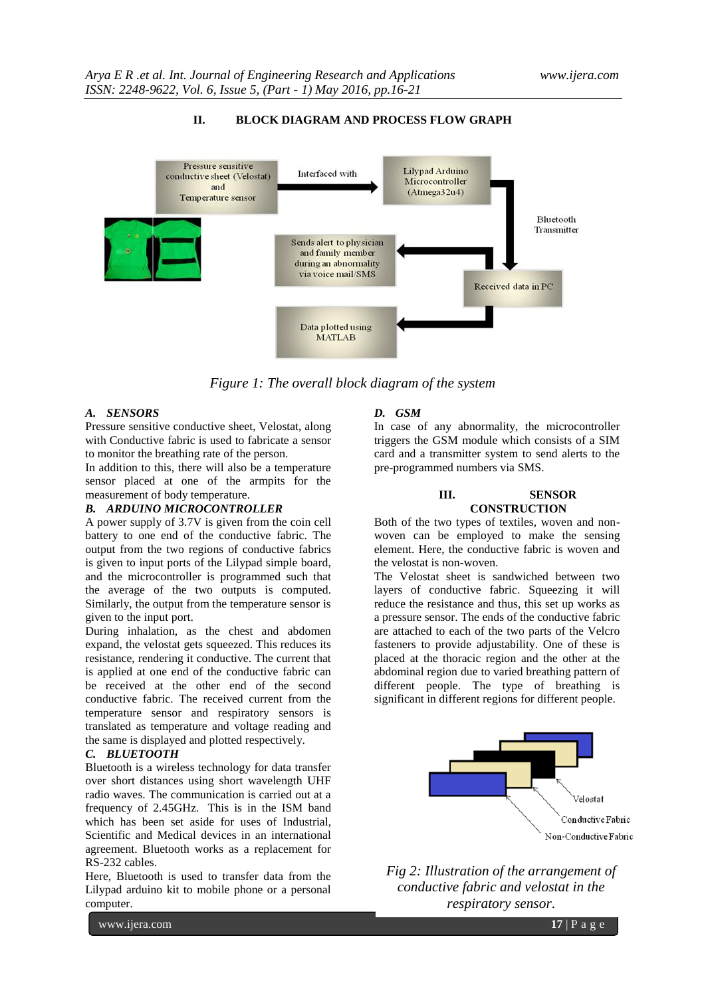

# **II. BLOCK DIAGRAM AND PROCESS FLOW GRAPH**

*Figure 1: The overall block diagram of the system*

#### *A. SENSORS*

Pressure sensitive conductive sheet, Velostat, along with Conductive fabric is used to fabricate a sensor to monitor the breathing rate of the person.

In addition to this, there will also be a temperature sensor placed at one of the armpits for the measurement of body temperature.

#### *B. ARDUINO MICROCONTROLLER*

A power supply of 3.7V is given from the coin cell battery to one end of the conductive fabric. The output from the two regions of conductive fabrics is given to input ports of the Lilypad simple board, and the microcontroller is programmed such that the average of the two outputs is computed. Similarly, the output from the temperature sensor is given to the input port.

During inhalation, as the chest and abdomen expand, the velostat gets squeezed. This reduces its resistance, rendering it conductive. The current that is applied at one end of the conductive fabric can be received at the other end of the second conductive fabric. The received current from the temperature sensor and respiratory sensors is translated as temperature and voltage reading and the same is displayed and plotted respectively.

#### *C. BLUETOOTH*

Bluetooth is a wireless technology for data transfer over short distances using short wavelength UHF radio waves. The communication is carried out at a frequency of 2.45GHz. This is in the ISM band which has been set aside for uses of Industrial, Scientific and Medical devices in an international agreement. Bluetooth works as a replacement for RS-232 cables.

Here, Bluetooth is used to transfer data from the Lilypad arduino kit to mobile phone or a personal computer.

#### *D. GSM*

In case of any abnormality, the microcontroller triggers the GSM module which consists of a SIM card and a transmitter system to send alerts to the pre-programmed numbers via SMS.

#### **III. SENSOR CONSTRUCTION**

Both of the two types of textiles, woven and nonwoven can be employed to make the sensing element. Here, the conductive fabric is woven and the velostat is non-woven.

The Velostat sheet is sandwiched between two layers of conductive fabric. Squeezing it will reduce the resistance and thus, this set up works as a pressure sensor. The ends of the conductive fabric are attached to each of the two parts of the Velcro fasteners to provide adjustability. One of these is placed at the thoracic region and the other at the abdominal region due to varied breathing pattern of different people. The type of breathing is significant in different regions for different people.



*Fig 2: Illustration of the arrangement of conductive fabric and velostat in the respiratory sensor*.

www.ijera.com **17** | P a g e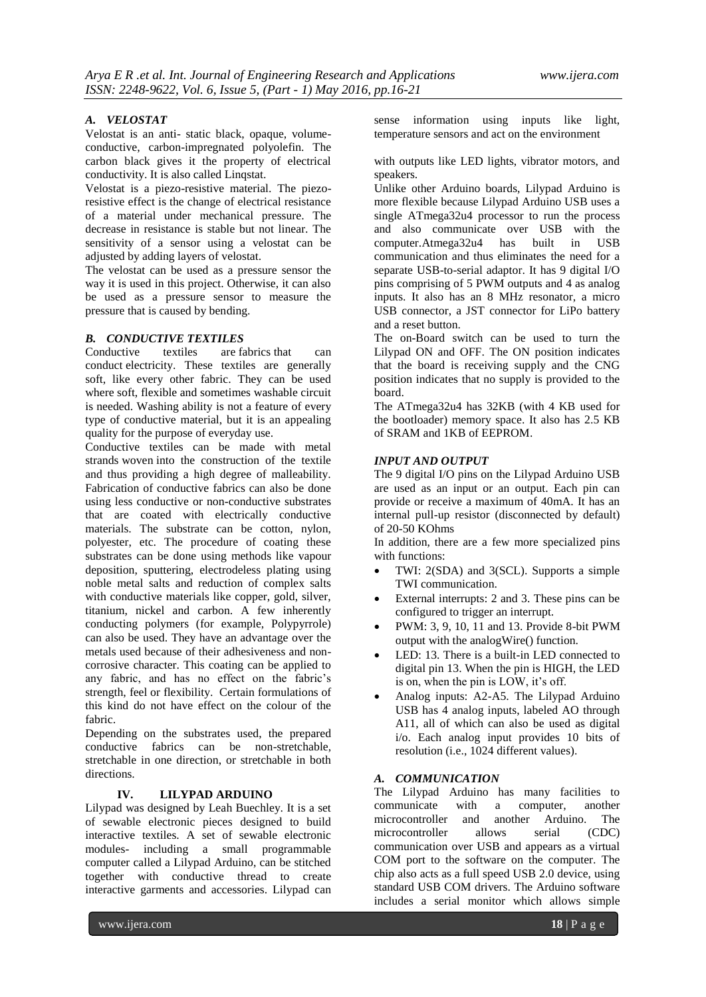#### *A. VELOSTAT*

Velostat is an anti- static black, opaque, volumeconductive, carbon-impregnated polyolefin. The carbon black gives it the property of electrical conductivity. It is also called Linqstat.

Velostat is a piezo-resistive material. The piezoresistive effect is the change of electrical resistance of a material under mechanical pressure. The decrease in resistance is stable but not linear. The sensitivity of a sensor using a velostat can be adjusted by adding layers of velostat.

The velostat can be used as a pressure sensor the way it is used in this project. Otherwise, it can also be used as a pressure sensor to measure the pressure that is caused by bending.

#### *B. CONDUCTIVE TEXTILES*

Conductive textiles are fabrics that can conduct electricity. These textiles are generally soft, like every other fabric. They can be used where soft, flexible and sometimes washable circuit is needed. Washing ability is not a feature of every type of conductive material, but it is an appealing quality for the purpose of everyday use.

Conductive textiles can be made with metal strands woven into the construction of the textile and thus providing a high degree of malleability. Fabrication of conductive fabrics can also be done using less conductive or non-conductive substrates that are coated with electrically conductive materials. The substrate can be cotton, nylon, polyester, etc. The procedure of coating these substrates can be done using methods like vapour deposition, sputtering, electrodeless plating using noble metal salts and reduction of complex salts with conductive materials like copper, gold, silver, titanium, nickel and carbon. A few inherently conducting polymers (for example, Polypyrrole) can also be used. They have an advantage over the metals used because of their adhesiveness and noncorrosive character. This coating can be applied to any fabric, and has no effect on the fabric's strength, feel or flexibility. Certain formulations of this kind do not have effect on the colour of the fabric.

Depending on the substrates used, the prepared conductive fabrics can be non-stretchable, stretchable in one direction, or stretchable in both directions.

#### **IV. LILYPAD ARDUINO**

Lilypad was designed by Leah Buechley. It is a set of sewable electronic pieces designed to build interactive textiles. A set of sewable electronic modules- including a small programmable computer called a Lilypad Arduino, can be stitched together with conductive thread to create interactive garments and accessories. Lilypad can sense information using inputs like light, temperature sensors and act on the environment

with outputs like LED lights, vibrator motors, and speakers.

Unlike other Arduino boards, Lilypad Arduino is more flexible because Lilypad Arduino USB uses a single ATmega32u4 processor to run the process and also communicate over USB with the computer.Atmega32u4 has built in USB communication and thus eliminates the need for a separate USB-to-serial adaptor. It has 9 digital I/O pins comprising of 5 PWM outputs and 4 as analog inputs. It also has an 8 MHz resonator, a micro USB connector, a JST connector for LiPo battery and a reset button.

The on-Board switch can be used to turn the Lilypad ON and OFF. The ON position indicates that the board is receiving supply and the CNG position indicates that no supply is provided to the board.

The ATmega32u4 has 32KB (with 4 KB used for the bootloader) memory space. It also has 2.5 KB of SRAM and 1KB of EEPROM.

#### *INPUT AND OUTPUT*

The 9 digital I/O pins on the Lilypad Arduino USB are used as an input or an output. Each pin can provide or receive a maximum of 40mA. It has an internal pull-up resistor (disconnected by default) of 20-50 KOhms

In addition, there are a few more specialized pins with functions:

- TWI: 2(SDA) and 3(SCL). Supports a simple TWI communication.
- External interrupts: 2 and 3. These pins can be configured to trigger an interrupt.
- $\bullet$  PWM: 3, 9, 10, 11 and 13. Provide 8-bit PWM output with the analogWire() function.
- LED: 13. There is a built-in LED connected to digital pin 13. When the pin is HIGH, the LED is on, when the pin is LOW, it's off.
- Analog inputs: A2-A5. The Lilypad Arduino USB has 4 analog inputs, labeled AO through A11, all of which can also be used as digital i/o. Each analog input provides 10 bits of resolution (i.e., 1024 different values).

#### *A. COMMUNICATION*

The Lilypad Arduino has many facilities to communicate with a computer, another microcontroller and another Arduino. The microcontroller allows serial (CDC) communication over USB and appears as a virtual COM port to the software on the computer. The chip also acts as a full speed USB 2.0 device, using standard USB COM drivers. The Arduino software includes a serial monitor which allows simple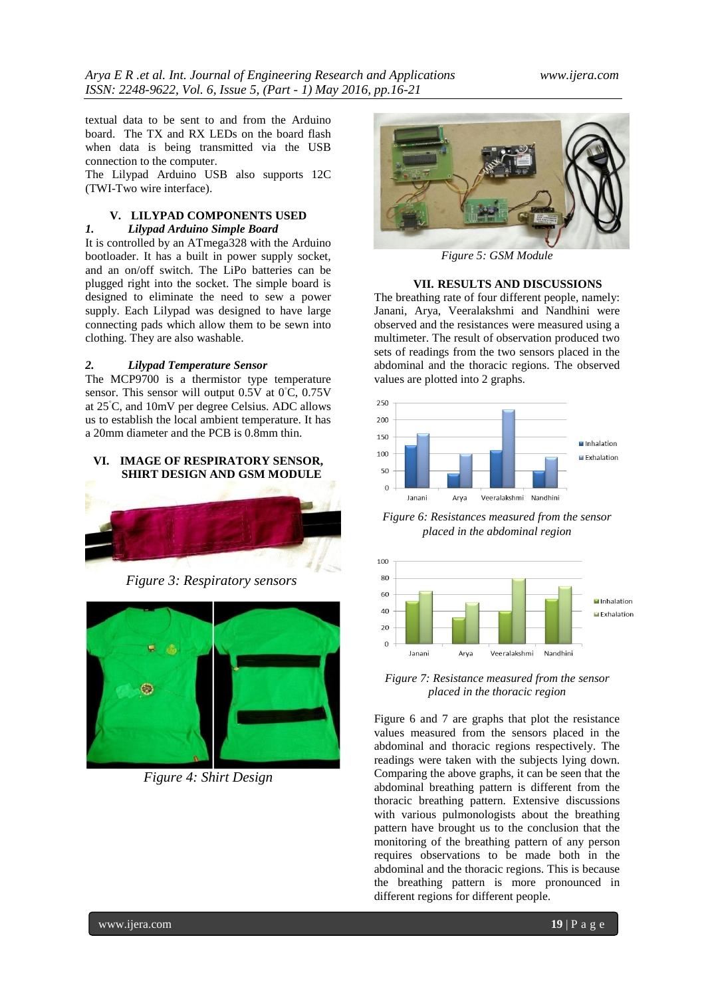textual data to be sent to and from the Arduino board. The TX and RX LEDs on the board flash when data is being transmitted via the USB connection to the computer.

The Lilypad Arduino USB also supports 12C (TWI-Two wire interface).

# **V. LILYPAD COMPONENTS USED** *1. Lilypad Arduino Simple Board*

It is controlled by an ATmega328 with the Arduino bootloader. It has a built in power supply socket, and an on/off switch. The LiPo batteries can be plugged right into the socket. The simple board is designed to eliminate the need to sew a power supply. Each Lilypad was designed to have large connecting pads which allow them to be sewn into clothing. They are also washable.

## *2. Lilypad Temperature Sensor*

The MCP9700 is a thermistor type temperature sensor. This sensor will output  $0.5V$  at  $0°C$ ,  $0.75V$ at 25◦C, and 10mV per degree Celsius. ADC allows us to establish the local ambient temperature. It has a 20mm diameter and the PCB is 0.8mm thin.

#### **VI. IMAGE OF RESPIRATORY SENSOR, SHIRT DESIGN AND GSM MODULE**



*Figure 3: Respiratory sensors*



*Figure 4: Shirt Design*



*Figure 5: GSM Module*

# **VII. RESULTS AND DISCUSSIONS**

The breathing rate of four different people, namely: Janani, Arya, Veeralakshmi and Nandhini were observed and the resistances were measured using a multimeter. The result of observation produced two sets of readings from the two sensors placed in the abdominal and the thoracic regions. The observed values are plotted into 2 graphs.



*Figure 6: Resistances measured from the sensor placed in the abdominal region*



*Figure 7: Resistance measured from the sensor placed in the thoracic region*

Figure 6 and 7 are graphs that plot the resistance values measured from the sensors placed in the abdominal and thoracic regions respectively. The readings were taken with the subjects lying down. Comparing the above graphs, it can be seen that the abdominal breathing pattern is different from the thoracic breathing pattern. Extensive discussions with various pulmonologists about the breathing pattern have brought us to the conclusion that the monitoring of the breathing pattern of any person requires observations to be made both in the abdominal and the thoracic regions. This is because the breathing pattern is more pronounced in different regions for different people.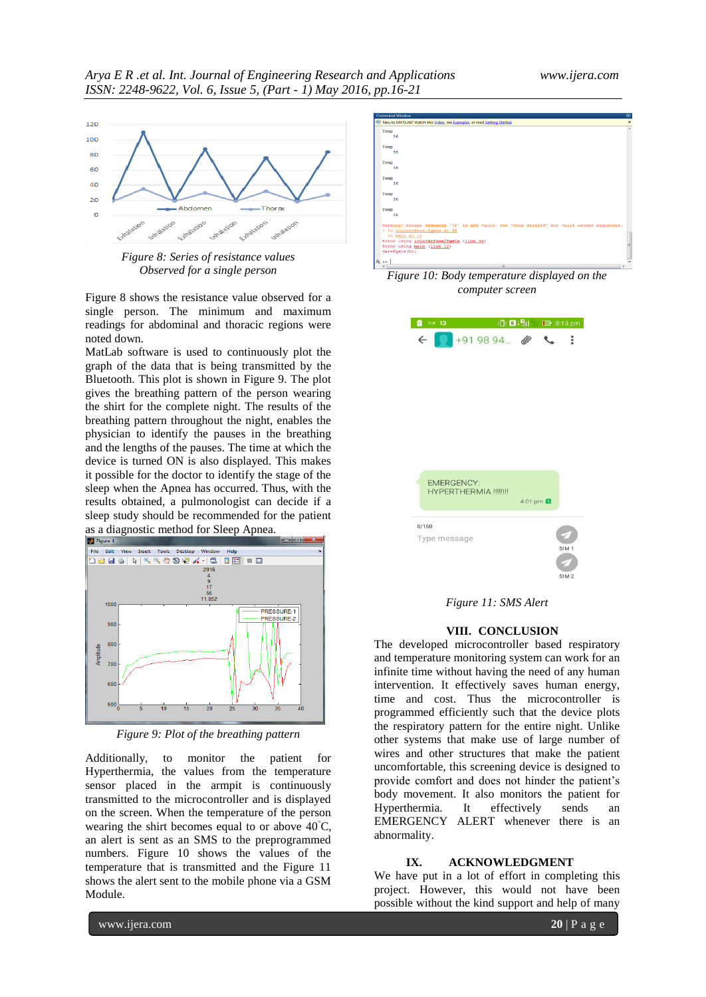

*Figure 8: Series of resistance values Observed for a single person*

Figure 8 shows the resistance value observed for a single person. The minimum and maximum readings for abdominal and thoracic regions were noted down.

MatLab software is used to continuously plot the graph of the data that is being transmitted by the Bluetooth. This plot is shown in Figure 9. The plot gives the breathing pattern of the person wearing the shirt for the complete night. The results of the breathing pattern throughout the night, enables the physician to identify the pauses in the breathing and the lengths of the pauses. The time at which the device is turned ON is also displayed. This makes it possible for the doctor to identify the stage of the sleep when the Apnea has occurred. Thus, with the results obtained, a pulmonologist can decide if a sleep study should be recommended for the patient



*Figure 9: Plot of the breathing pattern*

Additionally, to monitor the patient for Hyperthermia, the values from the temperature sensor placed in the armpit is continuously transmitted to the microcontroller and is displayed on the screen. When the temperature of the person wearing the shirt becomes equal to or above 40◦C, an alert is sent as an SMS to the preprogrammed numbers. Figure 10 shows the values of the temperature that is transmitted and the Figure 11 shows the alert sent to the mobile phone via a GSM Module.



*Figure 10: Body temperature displayed on the computer screen*



*Figure 11: SMS Alert*

#### **VIII. CONCLUSION**

The developed microcontroller based respiratory and temperature monitoring system can work for an infinite time without having the need of any human intervention. It effectively saves human energy, time and cost. Thus the microcontroller is programmed efficiently such that the device plots the respiratory pattern for the entire night. Unlike other systems that make use of large number of wires and other structures that make the patient uncomfortable, this screening device is designed to provide comfort and does not hinder the patient's body movement. It also monitors the patient for Hyperthermia. It effectively sends an EMERGENCY ALERT whenever there is an abnormality.

#### **IX. ACKNOWLEDGMENT**

We have put in a lot of effort in completing this project. However, this would not have been possible without the kind support and help of many